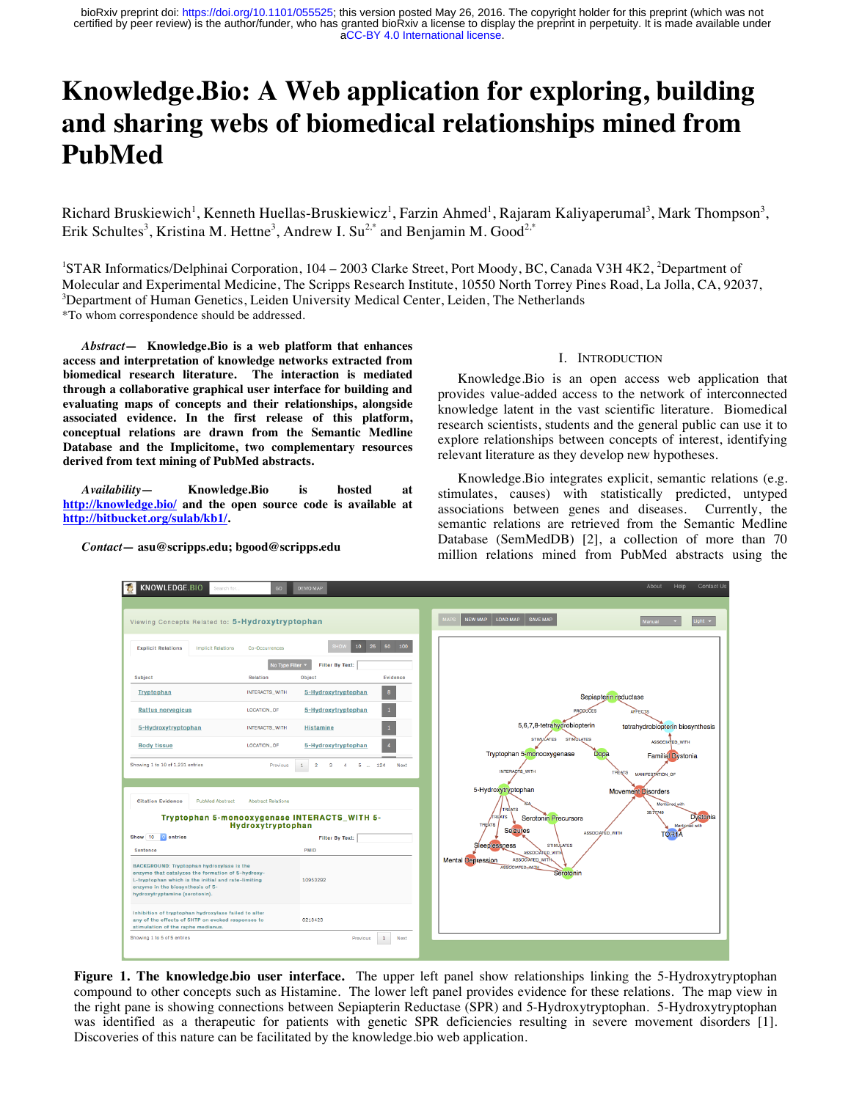# **Knowledge.Bio: A Web application for exploring, building and sharing webs of biomedical relationships mined from PubMed**

Richard Bruskiewich<sup>1</sup>, Kenneth Huellas-Bruskiewicz<sup>1</sup>, Farzin Ahmed<sup>1</sup>, Rajaram Kaliyaperumal<sup>3</sup>, Mark Thompson<sup>3</sup>, Erik Schultes<sup>3</sup>, Kristina M. Hettne<sup>3</sup>, Andrew I. Su<sup>2,\*</sup> and Benjamin M. Good<sup>2,\*</sup>

<sup>1</sup>STAR Informatics/Delphinai Corporation, 104 - 2003 Clarke Street, Port Moody, BC, Canada V3H 4K2, <sup>2</sup>Department of Molecular and Experimental Medicine, The Scripps Research Institute, 10550 North Torrey Pines Road, La Jolla, CA, 92037, 3  $\beta$ Department of Human Genetics, Leiden University Medical Center, Leiden, The Netherlands \*To whom correspondence should be addressed.

*Abstract***— Knowledge.Bio is a web platform that enhances access and interpretation of knowledge networks extracted from biomedical research literature. The interaction is mediated through a collaborative graphical user interface for building and evaluating maps of concepts and their relationships, alongside associated evidence. In the first release of this platform, conceptual relations are drawn from the Semantic Medline Database and the Implicitome, two complementary resources derived from text mining of PubMed abstracts.**

*Availability***— Knowledge.Bio is hosted at http://knowledge.bio/ and the open source code is available at http://bitbucket.org/sulab/kb1/.**

*Contact—* **asu@scripps.edu; bgood@scripps.edu**

#### I. INTRODUCTION

Knowledge.Bio is an open access web application that provides value-added access to the network of interconnected knowledge latent in the vast scientific literature. Biomedical research scientists, students and the general public can use it to explore relationships between concepts of interest, identifying relevant literature as they develop new hypotheses.

Knowledge.Bio integrates explicit, semantic relations (e.g. stimulates, causes) with statistically predicted, untyped associations between genes and diseases. Currently, the semantic relations are retrieved from the Semantic Medline Database (SemMedDB) [2], a collection of more than 70 million relations mined from PubMed abstracts using the



**Figure 1. The knowledge.bio user interface.** The upper left panel show relationships linking the 5-Hydroxytryptophan compound to other concepts such as Histamine. The lower left panel provides evidence for these relations. The map view in the right pane is showing connections between Sepiapterin Reductase (SPR) and 5-Hydroxytryptophan. 5-Hydroxytryptophan was identified as a therapeutic for patients with genetic SPR deficiencies resulting in severe movement disorders [1]. Discoveries of this nature can be facilitated by the knowledge.bio web application.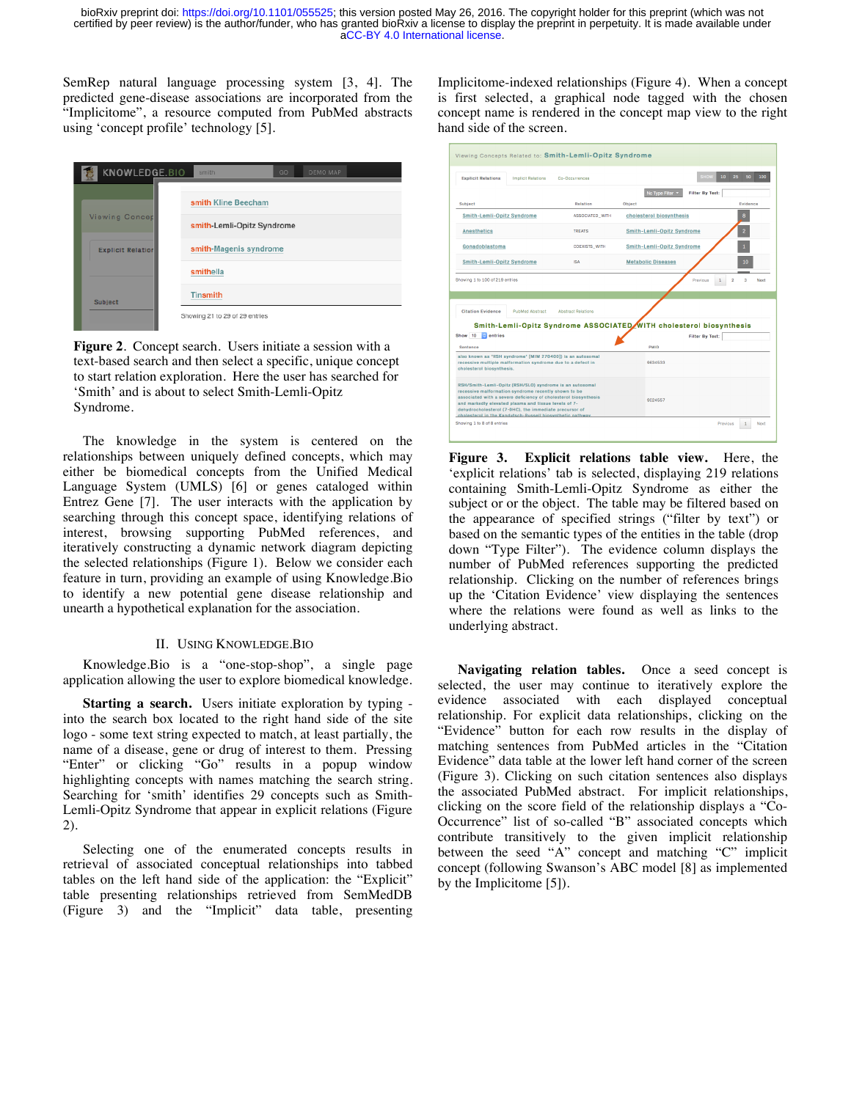SemRep natural language processing system [3, 4]. The predicted gene-disease associations are incorporated from the "Implicitome", a resource computed from PubMed abstracts using 'concept profile' technology [5].

| KNOWLEDGE.BIO            | GO<br>smith<br>DEMO MAP        |
|--------------------------|--------------------------------|
|                          | smith Kline Beecham            |
| <b>Viewing Concep</b>    | smith-Lemli-Opitz Syndrome     |
| <b>Explicit Relation</b> | smith-Magenis syndrome         |
|                          | smithella                      |
| Subject                  | <b>Tinsmith</b>                |
|                          | Showing 21 to 29 of 29 entries |

**Figure 2**. Concept search. Users initiate a session with a text-based search and then select a specific, unique concept to start relation exploration. Here the user has searched for 'Smith' and is about to select Smith-Lemli-Opitz Syndrome.

The knowledge in the system is centered on the relationships between uniquely defined concepts, which may either be biomedical concepts from the Unified Medical Language System (UMLS) [6] or genes cataloged within Entrez Gene [7]. The user interacts with the application by searching through this concept space, identifying relations of interest, browsing supporting PubMed references, and iteratively constructing a dynamic network diagram depicting the selected relationships (Figure 1). Below we consider each feature in turn, providing an example of using Knowledge.Bio to identify a new potential gene disease relationship and unearth a hypothetical explanation for the association.

## II. USING KNOWLEDGE.BIO

Knowledge.Bio is a "one-stop-shop", a single page application allowing the user to explore biomedical knowledge.

**Starting a search.** Users initiate exploration by typing into the search box located to the right hand side of the site logo - some text string expected to match, at least partially, the name of a disease, gene or drug of interest to them. Pressing "Enter" or clicking "Go" results in a popup window highlighting concepts with names matching the search string. Searching for 'smith' identifies 29 concepts such as Smith-Lemli-Opitz Syndrome that appear in explicit relations (Figure 2).

Selecting one of the enumerated concepts results in retrieval of associated conceptual relationships into tabbed tables on the left hand side of the application: the "Explicit" table presenting relationships retrieved from SemMedDB (Figure 3) and the "Implicit" data table, presenting Implicitome-indexed relationships (Figure 4). When a concept is first selected, a graphical node tagged with the chosen concept name is rendered in the concept map view to the right hand side of the screen.

| <b>Explicit Relations</b><br><b>Implicit Relations</b>                                                                                                                                                                                                                                                                                                             | Co-Occurrences            | <b>SHOW</b>                                                                                   | 10<br>25<br>50<br>100 |  |  |  |  |
|--------------------------------------------------------------------------------------------------------------------------------------------------------------------------------------------------------------------------------------------------------------------------------------------------------------------------------------------------------------------|---------------------------|-----------------------------------------------------------------------------------------------|-----------------------|--|--|--|--|
|                                                                                                                                                                                                                                                                                                                                                                    |                           | No Type Filter<br><b>Filter By Text:</b>                                                      |                       |  |  |  |  |
| <b>Subject</b>                                                                                                                                                                                                                                                                                                                                                     | <b>Relation</b>           | Object                                                                                        | Evidence              |  |  |  |  |
| Smith-Lemli-Opitz Syndrome                                                                                                                                                                                                                                                                                                                                         | ASSOCIATED_WITH           | cholesterol biosynthesis                                                                      | 8                     |  |  |  |  |
| <b>Anesthetics</b>                                                                                                                                                                                                                                                                                                                                                 | <b>TREATS</b>             | Smith-Lemli-Opitz Syndrome                                                                    | $\overline{2}$        |  |  |  |  |
| Gonadoblastoma                                                                                                                                                                                                                                                                                                                                                     | <b>COEXISTS_WITH</b>      | Smith-Lemli-Opitz Syndrome                                                                    |                       |  |  |  |  |
| Smith-Lemli-Opitz Syndrome                                                                                                                                                                                                                                                                                                                                         | $\mathbb{R}\mathbb{A}$    | <b>Metabolic Diseases</b>                                                                     | 10                    |  |  |  |  |
| Showing 1 to 100 of 219 entries                                                                                                                                                                                                                                                                                                                                    |                           | Previous                                                                                      | ö<br>a<br>۰.<br>Next  |  |  |  |  |
| <b>Citation Evidence</b><br><b>PubMed Abstract</b>                                                                                                                                                                                                                                                                                                                 | <b>Abstract Relations</b> |                                                                                               |                       |  |  |  |  |
| Show 10<br><b>R</b> entries                                                                                                                                                                                                                                                                                                                                        |                           | Smith-Lemli-Opitz Syndrome ASSOCIATED WITH cholesterol biosynthesis<br><b>Filter By Text:</b> |                       |  |  |  |  |
| Sentence                                                                                                                                                                                                                                                                                                                                                           |                           | <b>PMID</b>                                                                                   |                       |  |  |  |  |
| also known as "RSH syndrome" [MIM 270400]) is an autosomal<br>recessive multiple malformation syndrome due to a defect in<br>cholesterol biosynthesis.                                                                                                                                                                                                             |                           | 9634533                                                                                       |                       |  |  |  |  |
| RSH/Smith-Lemli-Opitz (RSH/SLO) syndrome is an autosomal<br>recessive malformation syndrome recently shown to be<br>associated with a severe deficiency of cholesterol biosynthesis<br>and markedly elevated plasma and tissue levels of 7-<br>dehydrocholesterol (7-DHC), the immediate precursor of<br>cholesterol in the Kandulsch-Russell biosynthetic pathway |                           | 9024557                                                                                       |                       |  |  |  |  |

**Figure 3. Explicit relations table view.** Here, the 'explicit relations' tab is selected, displaying 219 relations containing Smith-Lemli-Opitz Syndrome as either the subject or or the object. The table may be filtered based on the appearance of specified strings ("filter by text") or based on the semantic types of the entities in the table (drop down "Type Filter"). The evidence column displays the number of PubMed references supporting the predicted relationship. Clicking on the number of references brings up the 'Citation Evidence' view displaying the sentences where the relations were found as well as links to the underlying abstract.

**Navigating relation tables.** Once a seed concept is selected, the user may continue to iteratively explore the evidence associated with each displayed conceptual relationship. For explicit data relationships, clicking on the "Evidence" button for each row results in the display of matching sentences from PubMed articles in the "Citation Evidence" data table at the lower left hand corner of the screen (Figure 3). Clicking on such citation sentences also displays the associated PubMed abstract. For implicit relationships, clicking on the score field of the relationship displays a "Co-Occurrence" list of so-called "B" associated concepts which contribute transitively to the given implicit relationship between the seed "A" concept and matching "C" implicit concept (following Swanson's ABC model [8] as implemented by the Implicitome [5]).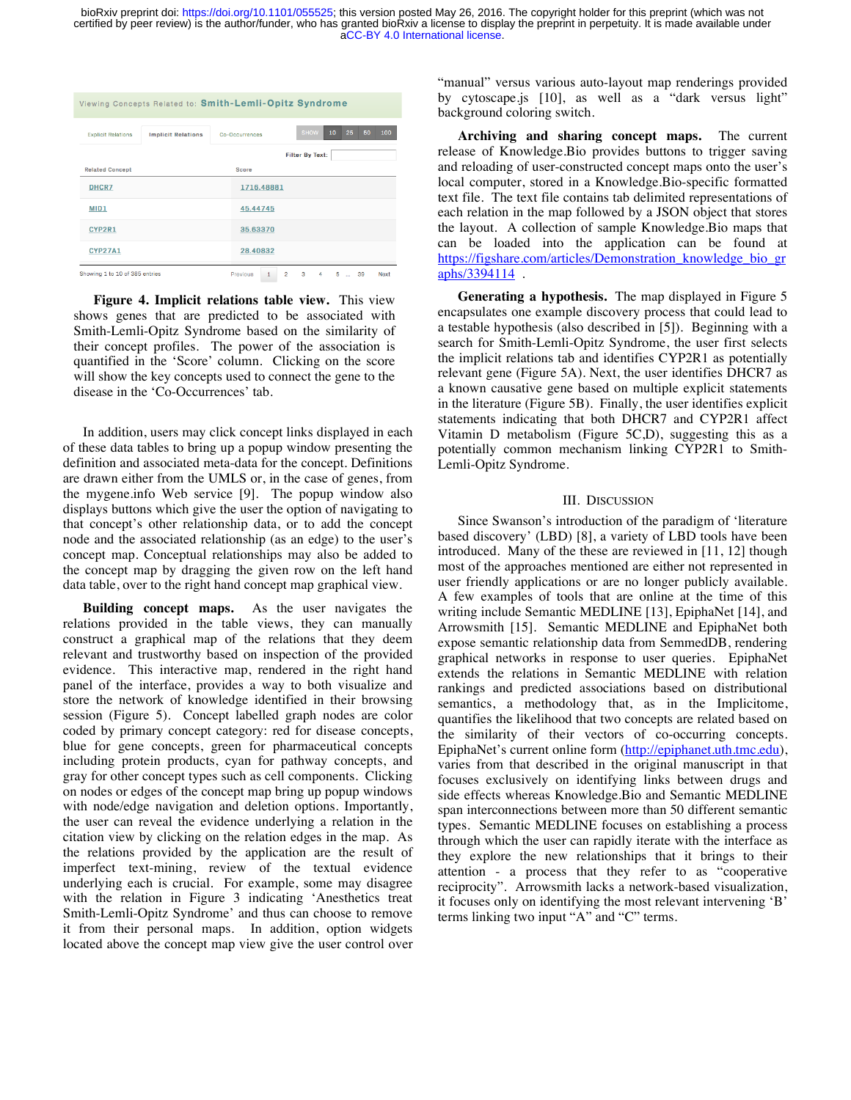| Viewing Concepts Related to: Smith-Lemli-Opitz Syndrome |                           |                |              |   |                |    |    |             |     |      |  |
|---------------------------------------------------------|---------------------------|----------------|--------------|---|----------------|----|----|-------------|-----|------|--|
|                                                         |                           |                |              |   |                |    |    |             |     |      |  |
| <b>Explicit Relations</b>                               | <b>Implicit Relations</b> | Co-Occurrences |              |   | <b>SHOW</b>    | 10 | 25 | 50          | 100 |      |  |
|                                                         | <b>Filter By Text:</b>    |                |              |   |                |    |    |             |     |      |  |
| <b>Related Concept</b>                                  |                           |                | <b>Score</b> |   |                |    |    |             |     |      |  |
| DHCR7                                                   |                           |                | 1716.48881   |   |                |    |    |             |     |      |  |
| MID1                                                    |                           |                | 45.44745     |   |                |    |    |             |     |      |  |
| CYP2R1                                                  |                           |                | 35.63370     |   |                |    |    |             |     |      |  |
| <b>CYP27A1</b>                                          | 28.40832                  |                |              |   |                |    |    |             |     |      |  |
| Showing 1 to 10 of 385 entries                          |                           |                | Previous     | 1 | $\overline{2}$ | з  | 4  | 5<br>$\sim$ | 39  | Next |  |

**Figure 4. Implicit relations table view.** This view shows genes that are predicted to be associated with Smith-Lemli-Opitz Syndrome based on the similarity of their concept profiles. The power of the association is quantified in the 'Score' column. Clicking on the score will show the key concepts used to connect the gene to the disease in the 'Co-Occurrences' tab.

In addition, users may click concept links displayed in each of these data tables to bring up a popup window presenting the definition and associated meta-data for the concept. Definitions are drawn either from the UMLS or, in the case of genes, from the mygene.info Web service [9]. The popup window also displays buttons which give the user the option of navigating to that concept's other relationship data, or to add the concept node and the associated relationship (as an edge) to the user's concept map. Conceptual relationships may also be added to the concept map by dragging the given row on the left hand data table, over to the right hand concept map graphical view.

**Building concept maps.** As the user navigates the relations provided in the table views, they can manually construct a graphical map of the relations that they deem relevant and trustworthy based on inspection of the provided evidence. This interactive map, rendered in the right hand panel of the interface, provides a way to both visualize and store the network of knowledge identified in their browsing session (Figure 5). Concept labelled graph nodes are color coded by primary concept category: red for disease concepts, blue for gene concepts, green for pharmaceutical concepts including protein products, cyan for pathway concepts, and gray for other concept types such as cell components. Clicking on nodes or edges of the concept map bring up popup windows with node/edge navigation and deletion options. Importantly, the user can reveal the evidence underlying a relation in the citation view by clicking on the relation edges in the map. As the relations provided by the application are the result of imperfect text-mining, review of the textual evidence underlying each is crucial. For example, some may disagree with the relation in Figure 3 indicating 'Anesthetics treat Smith-Lemli-Opitz Syndrome' and thus can choose to remove it from their personal maps. In addition, option widgets located above the concept map view give the user control over

"manual" versus various auto-layout map renderings provided by cytoscape.js [10], as well as a "dark versus light" background coloring switch.

**Archiving and sharing concept maps.** The current release of Knowledge.Bio provides buttons to trigger saving and reloading of user-constructed concept maps onto the user's local computer, stored in a Knowledge.Bio-specific formatted text file. The text file contains tab delimited representations of each relation in the map followed by a JSON object that stores the layout. A collection of sample Knowledge.Bio maps that can be loaded into the application can be found at https://figshare.com/articles/Demonstration\_knowledge\_bio\_gr aphs/3394114 .

**Generating a hypothesis.** The map displayed in Figure 5 encapsulates one example discovery process that could lead to a testable hypothesis (also described in [5]). Beginning with a search for Smith-Lemli-Opitz Syndrome, the user first selects the implicit relations tab and identifies CYP2R1 as potentially relevant gene (Figure 5A). Next, the user identifies DHCR7 as a known causative gene based on multiple explicit statements in the literature (Figure 5B). Finally, the user identifies explicit statements indicating that both DHCR7 and CYP2R1 affect Vitamin D metabolism (Figure 5C,D), suggesting this as a potentially common mechanism linking CYP2R1 to Smith-Lemli-Opitz Syndrome.

### III. DISCUSSION

Since Swanson's introduction of the paradigm of 'literature based discovery' (LBD) [8], a variety of LBD tools have been introduced. Many of the these are reviewed in [11, 12] though most of the approaches mentioned are either not represented in user friendly applications or are no longer publicly available. A few examples of tools that are online at the time of this writing include Semantic MEDLINE [13], EpiphaNet [14], and Arrowsmith [15]. Semantic MEDLINE and EpiphaNet both expose semantic relationship data from SemmedDB, rendering graphical networks in response to user queries. EpiphaNet extends the relations in Semantic MEDLINE with relation rankings and predicted associations based on distributional semantics, a methodology that, as in the Implicitome, quantifies the likelihood that two concepts are related based on the similarity of their vectors of co-occurring concepts. EpiphaNet's current online form (http://epiphanet.uth.tmc.edu), varies from that described in the original manuscript in that focuses exclusively on identifying links between drugs and side effects whereas Knowledge.Bio and Semantic MEDLINE span interconnections between more than 50 different semantic types. Semantic MEDLINE focuses on establishing a process through which the user can rapidly iterate with the interface as they explore the new relationships that it brings to their attention - a process that they refer to as "cooperative reciprocity". Arrowsmith lacks a network-based visualization, it focuses only on identifying the most relevant intervening 'B' terms linking two input "A" and "C" terms.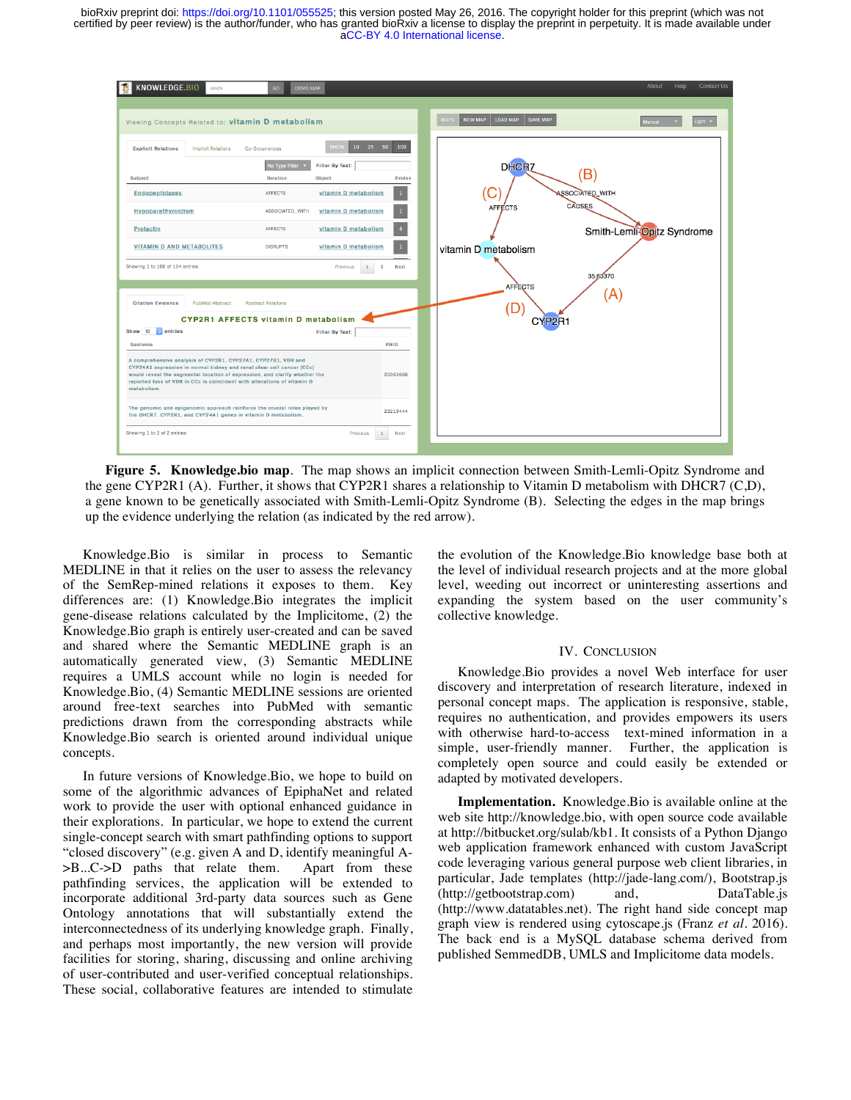

**Figure 5. Knowledge.bio map**. The map shows an implicit connection between Smith-Lemli-Opitz Syndrome and the gene CYP2R1 (A). Further, it shows that CYP2R1 shares a relationship to Vitamin D metabolism with DHCR7 (C,D), a gene known to be genetically associated with Smith-Lemli-Opitz Syndrome (B). Selecting the edges in the map brings up the evidence underlying the relation (as indicated by the red arrow).

Knowledge.Bio is similar in process to Semantic MEDLINE in that it relies on the user to assess the relevancy of the SemRep-mined relations it exposes to them. Key differences are: (1) Knowledge.Bio integrates the implicit gene-disease relations calculated by the Implicitome, (2) the Knowledge.Bio graph is entirely user-created and can be saved and shared where the Semantic MEDLINE graph is an automatically generated view, (3) Semantic MEDLINE requires a UMLS account while no login is needed for Knowledge.Bio, (4) Semantic MEDLINE sessions are oriented around free-text searches into PubMed with semantic predictions drawn from the corresponding abstracts while Knowledge.Bio search is oriented around individual unique concepts.

In future versions of Knowledge.Bio, we hope to build on some of the algorithmic advances of EpiphaNet and related work to provide the user with optional enhanced guidance in their explorations. In particular, we hope to extend the current single-concept search with smart pathfinding options to support "closed discovery" (e.g. given A and D, identify meaningful A- >B...C->D paths that relate them. Apart from these pathfinding services, the application will be extended to incorporate additional 3rd-party data sources such as Gene Ontology annotations that will substantially extend the interconnectedness of its underlying knowledge graph. Finally, and perhaps most importantly, the new version will provide facilities for storing, sharing, discussing and online archiving of user-contributed and user-verified conceptual relationships. These social, collaborative features are intended to stimulate

the evolution of the Knowledge.Bio knowledge base both at the level of individual research projects and at the more global level, weeding out incorrect or uninteresting assertions and expanding the system based on the user community's collective knowledge.

## IV. CONCLUSION

Knowledge.Bio provides a novel Web interface for user discovery and interpretation of research literature, indexed in personal concept maps. The application is responsive, stable, requires no authentication, and provides empowers its users with otherwise hard-to-access text-mined information in a simple, user-friendly manner. Further, the application is completely open source and could easily be extended or adapted by motivated developers.

**Implementation.** Knowledge.Bio is available online at the web site http://knowledge.bio, with open source code available at http://bitbucket.org/sulab/kb1. It consists of a Python Django web application framework enhanced with custom JavaScript code leveraging various general purpose web client libraries, in particular, Jade templates (http://jade-lang.com/), Bootstrap.js (http://getbootstrap.com) and, DataTable.js (http://www.datatables.net). The right hand side concept map graph view is rendered using cytoscape.js (Franz *et al.* 2016). The back end is a MySQL database schema derived from published SemmedDB, UMLS and Implicitome data models.